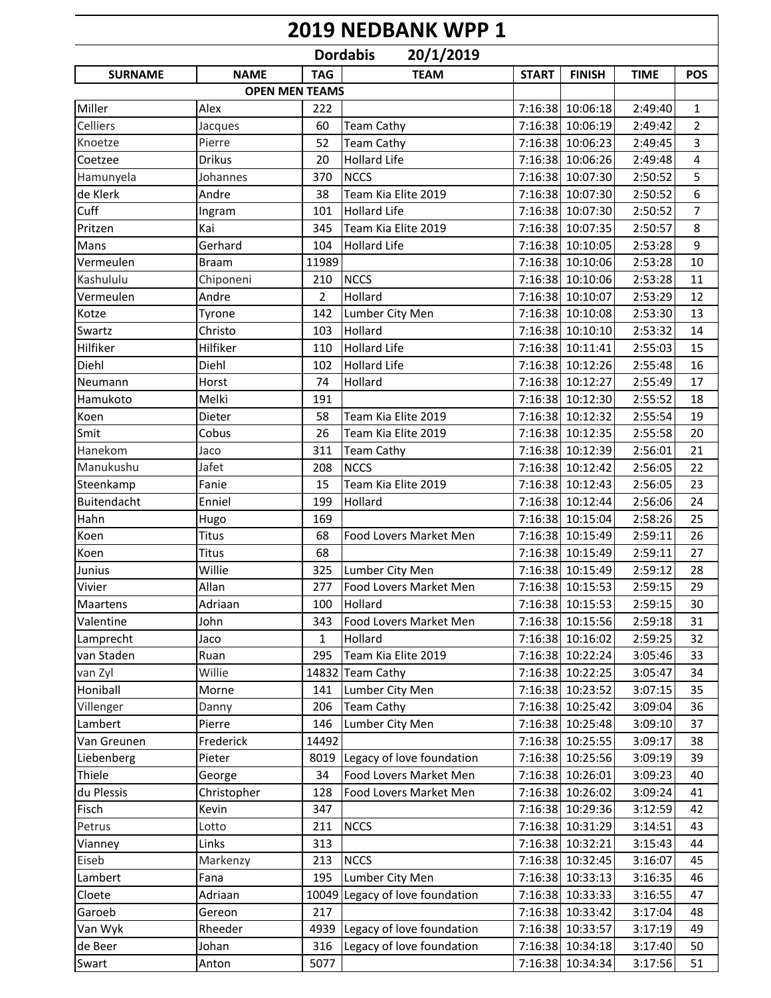## **2019 NEDBANK WPP 1**

| 20/1/2019<br><b>Dordabis</b> |                     |                       |                           |              |                  |                    |                |  |
|------------------------------|---------------------|-----------------------|---------------------------|--------------|------------------|--------------------|----------------|--|
| <b>SURNAME</b>               | <b>NAME</b>         | <b>TAG</b>            | <b>TEAM</b>               | <b>START</b> | <b>FINISH</b>    | <b>TIME</b>        | <b>POS</b>     |  |
|                              |                     | <b>OPEN MEN TEAMS</b> |                           |              |                  |                    |                |  |
| Miller                       | Alex                | 222                   |                           |              | 7:16:38 10:06:18 | 2:49:40            | $\mathbf{1}$   |  |
| Celliers                     | Jacques             | 60                    | <b>Team Cathy</b>         |              | 7:16:38 10:06:19 | 2:49:42            | $\overline{2}$ |  |
| Knoetze                      | Pierre              | 52                    | <b>Team Cathy</b>         |              | 7:16:38 10:06:23 | 2:49:45            | 3              |  |
| Coetzee                      | <b>Drikus</b>       | 20                    | <b>Hollard Life</b>       |              | 7:16:38 10:06:26 | 2:49:48            | 4              |  |
| Hamunyela                    | Johannes            | 370                   | <b>NCCS</b>               |              | 7:16:38 10:07:30 | 2:50:52            | 5              |  |
| de Klerk                     | Andre               | 38                    | Team Kia Elite 2019       |              | 7:16:38 10:07:30 | 2:50:52            | 6              |  |
| Cuff                         | Ingram              | 101                   | <b>Hollard Life</b>       |              | 7:16:38 10:07:30 | 2:50:52            | $\overline{7}$ |  |
| Pritzen                      | Kai                 | 345                   | Team Kia Elite 2019       |              | 7:16:38 10:07:35 | 2:50:57            | 8              |  |
| Mans                         | Gerhard             | 104                   | <b>Hollard Life</b>       |              | 7:16:38 10:10:05 | 2:53:28            | 9              |  |
| Vermeulen                    | <b>Braam</b>        | 11989                 |                           |              | 7:16:38 10:10:06 | 2:53:28            | $10\,$         |  |
| Kashululu                    | Chiponeni           | 210                   | <b>NCCS</b>               |              | 7:16:38 10:10:06 | 2:53:28            | 11             |  |
| Vermeulen                    | Andre               | $\overline{2}$        | Hollard                   |              | 7:16:38 10:10:07 | 2:53:29            | 12             |  |
| Kotze                        | Tyrone              | 142                   | Lumber City Men           |              | 7:16:38 10:10:08 | 2:53:30            | 13             |  |
| Swartz                       | Christo             | 103                   | Hollard                   |              | 7:16:38 10:10:10 | 2:53:32            | 14             |  |
| Hilfiker                     | Hilfiker            | 110                   | <b>Hollard Life</b>       |              | 7:16:38 10:11:41 | 2:55:03            | 15             |  |
| Diehl                        | Diehl               | 102                   | <b>Hollard Life</b>       |              | 7:16:38 10:12:26 | 2:55:48            | 16             |  |
| Neumann                      | Horst               | 74                    | Hollard                   |              | 7:16:38 10:12:27 | 2:55:49            | 17             |  |
| Hamukoto                     | Melki               | 191                   |                           |              | 7:16:38 10:12:30 | 2:55:52            | 18             |  |
| Koen                         | Dieter              | 58                    | Team Kia Elite 2019       |              | 7:16:38 10:12:32 | 2:55:54            | 19             |  |
| Smit                         | Cobus               | 26                    | Team Kia Elite 2019       |              | 7:16:38 10:12:35 | 2:55:58            | 20             |  |
| Hanekom                      | Jaco                | 311                   | <b>Team Cathy</b>         |              | 7:16:38 10:12:39 | 2:56:01            | 21             |  |
| Manukushu                    | Jafet               | 208                   | <b>NCCS</b>               |              | 7:16:38 10:12:42 | 2:56:05            | 22             |  |
| Steenkamp                    | Fanie               | 15                    | Team Kia Elite 2019       |              | 7:16:38 10:12:43 | 2:56:05            | 23             |  |
| Buitendacht                  | Enniel              | 199                   | Hollard                   |              | 7:16:38 10:12:44 | 2:56:06            | 24             |  |
| Hahn                         | Hugo                | 169                   |                           |              | 7:16:38 10:15:04 | 2:58:26            | 25             |  |
| Koen                         | Titus               | 68                    | Food Lovers Market Men    |              | 7:16:38 10:15:49 | 2:59:11            | 26             |  |
| Koen                         | <b>Titus</b>        | 68                    |                           |              | 7:16:38 10:15:49 | 2:59:11            | 27             |  |
| Junius                       | Willie              | 325                   | Lumber City Men           |              | 7:16:38 10:15:49 | 2:59:12            | 28             |  |
| Vivier                       | Allan               | 277                   | Food Lovers Market Men    |              | 7:16:38 10:15:53 | 2:59:15            | 29             |  |
| Maartens                     | Adriaan             | 100                   | Hollard                   |              | 7:16:38 10:15:53 | 2:59:15            | 30             |  |
| Valentine                    | John                | 343                   | Food Lovers Market Men    |              | 7:16:38 10:15:56 | 2:59:18            | 31             |  |
| Lamprecht                    | Jaco                | 1                     | Hollard                   |              | 7:16:38 10:16:02 | 2:59:25            | 32             |  |
| van Staden                   | Ruan                | 295                   | Team Kia Elite 2019       |              | 7:16:38 10:22:24 | 3:05:46            | 33             |  |
| van Zyl                      | Willie              | 14832                 | <b>Team Cathy</b>         |              | 7:16:38 10:22:25 | 3:05:47            | 34             |  |
| Honiball                     | Morne               | 141                   | Lumber City Men           |              | 7:16:38 10:23:52 | 3:07:15            | 35             |  |
|                              |                     | 206                   | <b>Team Cathy</b>         |              | 7:16:38 10:25:42 | 3:09:04            | 36             |  |
| Villenger<br>Lambert         | Danny               |                       |                           |              | 7:16:38 10:25:48 |                    | 37             |  |
| Van Greunen                  | Pierre<br>Frederick | 146<br>14492          | Lumber City Men           |              | 7:16:38 10:25:55 | 3:09:10<br>3:09:17 |                |  |
|                              | Pieter              |                       |                           |              | 7:16:38 10:25:56 |                    | 38<br>39       |  |
| Liebenberg                   |                     | 8019                  | Legacy of love foundation |              |                  | 3:09:19            |                |  |
| Thiele                       | George              | 34                    | Food Lovers Market Men    |              | 7:16:38 10:26:01 | 3:09:23            | 40             |  |
| du Plessis                   | Christopher         | 128                   | Food Lovers Market Men    |              | 7:16:38 10:26:02 | 3:09:24            | 41             |  |
| Fisch                        | Kevin               | 347                   |                           |              | 7:16:38 10:29:36 | 3:12:59            | 42             |  |
| Petrus                       | Lotto               | 211                   | <b>NCCS</b>               |              | 7:16:38 10:31:29 | 3:14:51            | 43             |  |
| Vianney                      | Links               | 313                   |                           |              | 7:16:38 10:32:21 | 3:15:43            | 44             |  |
| Eiseb                        | Markenzy            | 213                   | <b>NCCS</b>               |              | 7:16:38 10:32:45 | 3:16:07            | 45             |  |
| Lambert                      | Fana                | 195                   | Lumber City Men           |              | 7:16:38 10:33:13 | 3:16:35            | 46             |  |
| Cloete                       | Adriaan             | 10049                 | Legacy of love foundation |              | 7:16:38 10:33:33 | 3:16:55            | 47             |  |
| Garoeb                       | Gereon              | 217                   |                           |              | 7:16:38 10:33:42 | 3:17:04            | 48             |  |
| Van Wyk                      | Rheeder             | 4939                  | Legacy of love foundation |              | 7:16:38 10:33:57 | 3:17:19            | 49             |  |
| de Beer                      | Johan               | 316                   | Legacy of love foundation |              | 7:16:38 10:34:18 | 3:17:40            | 50             |  |
| Swart                        | Anton               | 5077                  |                           |              | 7:16:38 10:34:34 | 3:17:56            | 51             |  |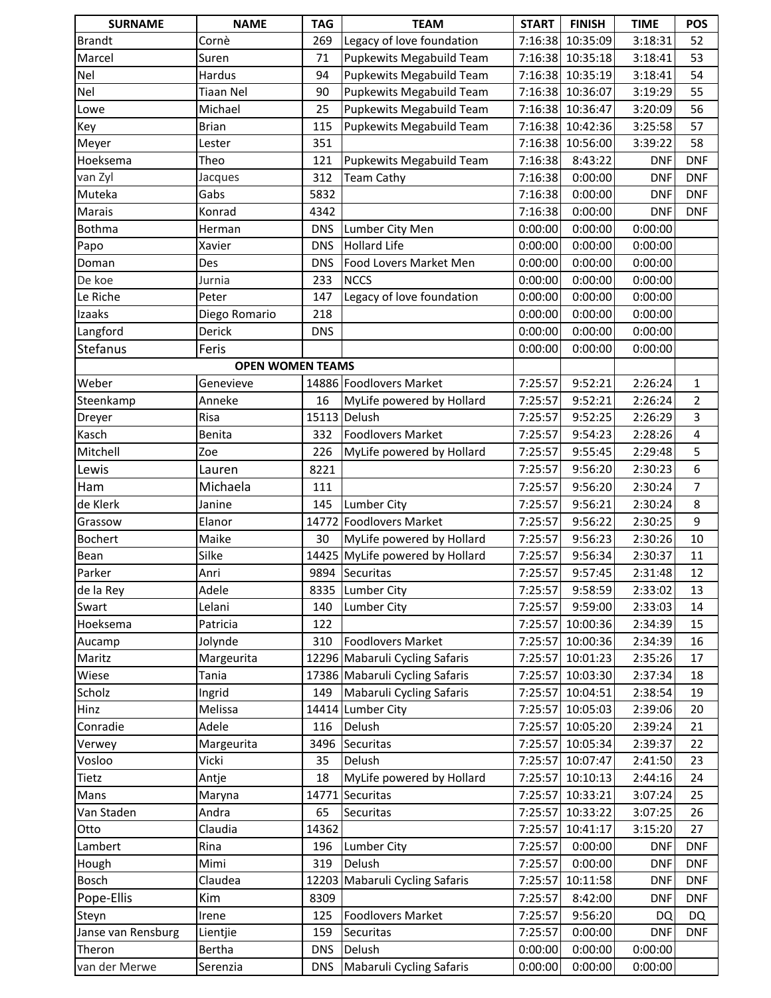| <b>SURNAME</b>        | <b>NAME</b>             | <b>TAG</b> | <b>TEAM</b>                     | <b>START</b> | <b>FINISH</b>    | <b>TIME</b> | <b>POS</b>     |
|-----------------------|-------------------------|------------|---------------------------------|--------------|------------------|-------------|----------------|
| <b>Brandt</b>         | Cornè                   | 269        | Legacy of love foundation       | 7:16:38      | 10:35:09         | 3:18:31     | 52             |
| Marcel                | Suren                   | 71         | <b>Pupkewits Megabuild Team</b> |              | 7:16:38 10:35:18 | 3:18:41     | 53             |
| Nel                   | Hardus                  | 94         | <b>Pupkewits Megabuild Team</b> |              | 7:16:38 10:35:19 | 3:18:41     | 54             |
| Nel                   | <b>Tiaan Nel</b>        | 90         | <b>Pupkewits Megabuild Team</b> | 7:16:38      | 10:36:07         | 3:19:29     | 55             |
| Lowe                  | Michael                 | 25         | <b>Pupkewits Megabuild Team</b> | 7:16:38      | 10:36:47         | 3:20:09     | 56             |
| Key                   | <b>Brian</b>            | 115        | <b>Pupkewits Megabuild Team</b> | 7:16:38      | 10:42:36         | 3:25:58     | 57             |
| Meyer                 | Lester                  | 351        |                                 | 7:16:38      | 10:56:00         | 3:39:22     | 58             |
| Hoeksema              | Theo                    | 121        | Pupkewits Megabuild Team        | 7:16:38      | 8:43:22          | <b>DNF</b>  | <b>DNF</b>     |
| van Zyl               | Jacques                 | 312        | <b>Team Cathy</b>               | 7:16:38      | 0:00:00          | <b>DNF</b>  | <b>DNF</b>     |
| Muteka                | Gabs                    | 5832       |                                 | 7:16:38      | 0:00:00          | <b>DNF</b>  | <b>DNF</b>     |
| Marais                | Konrad                  | 4342       |                                 | 7:16:38      | 0:00:00          | <b>DNF</b>  | <b>DNF</b>     |
| <b>Bothma</b>         | Herman                  | <b>DNS</b> | Lumber City Men                 | 0:00:00      | 0:00:00          | 0:00:00     |                |
| Papo                  | Xavier                  | <b>DNS</b> | <b>Hollard Life</b>             | 0:00:00      | 0:00:00          | 0:00:00     |                |
| Doman                 | Des                     | <b>DNS</b> | Food Lovers Market Men          | 0:00:00      | 0:00:00          | 0:00:00     |                |
| De koe                | Jurnia                  | 233        | <b>NCCS</b>                     | 0:00:00      | 0:00:00          | 0:00:00     |                |
| Le Riche              | Peter                   | 147        | Legacy of love foundation       | 0:00:00      | 0:00:00          | 0:00:00     |                |
| Izaaks                | Diego Romario           | 218        |                                 | 0:00:00      | 0:00:00          | 0:00:00     |                |
| Langford              | Derick                  | <b>DNS</b> |                                 | 0:00:00      | 0:00:00          | 0:00:00     |                |
| Stefanus              | Feris                   |            |                                 | 0:00:00      | 0:00:00          | 0:00:00     |                |
|                       | <b>OPEN WOMEN TEAMS</b> |            |                                 |              |                  |             |                |
| Weber                 | Genevieve               |            | 14886 Foodlovers Market         | 7:25:57      | 9:52:21          | 2:26:24     | 1              |
| Steenkamp             | Anneke                  | 16         | MyLife powered by Hollard       | 7:25:57      | 9:52:21          | 2:26:24     | 2              |
| Dreyer                | Risa                    |            | 15113 Delush                    | 7:25:57      | 9:52:25          | 2:26:29     | 3              |
| Kasch                 | Benita                  | 332        | <b>Foodlovers Market</b>        | 7:25:57      | 9:54:23          | 2:28:26     | 4              |
| Mitchell              | Zoe                     | 226        | MyLife powered by Hollard       | 7:25:57      | 9:55:45          | 2:29:48     | 5              |
| Lewis                 | Lauren                  | 8221       |                                 | 7:25:57      | 9:56:20          | 2:30:23     | 6              |
| Ham                   | Michaela                | 111        |                                 | 7:25:57      | 9:56:20          | 2:30:24     | $\overline{7}$ |
| de Klerk              | Janine                  | 145        | <b>Lumber City</b>              | 7:25:57      | 9:56:21          | 2:30:24     | 8              |
| Grassow               | Elanor                  |            | 14772 Foodlovers Market         | 7:25:57      | 9:56:22          | 2:30:25     | 9              |
| <b>Bochert</b>        | Maike                   | 30         | MyLife powered by Hollard       | 7:25:57      | 9:56:23          | 2:30:26     | 10             |
| Bean                  | Silke                   |            | 14425 MyLife powered by Hollard | 7:25:57      | 9:56:34          | 2:30:37     | 11             |
| Parker                | Anri                    |            | 9894 Securitas                  | 7:25:57      | 9:57:45          | 2:31:48     | 12             |
| de la Rey             | Adele                   |            | 8335 Lumber City                | 7:25:57      | 9:58:59          | 2:33:02     | 13             |
| Swart                 | Lelani                  | 140        | Lumber City                     | 7:25:57      | 9:59:00          | 2:33:03     | 14             |
| Hoeksema              | Patricia                | 122        |                                 | 7:25:57      | 10:00:36         | 2:34:39     | 15             |
| Aucamp                | Jolynde                 | 310        | Foodlovers Market               | 7:25:57      | 10:00:36         | 2:34:39     | 16             |
| Maritz                | Margeurita              |            | 12296 Mabaruli Cycling Safaris  | 7:25:57      | 10:01:23         | 2:35:26     | 17             |
| Wiese                 | Tania                   |            | 17386 Mabaruli Cycling Safaris  | 7:25:57      | 10:03:30         | 2:37:34     | 18             |
| Scholz                | Ingrid                  | 149        | Mabaruli Cycling Safaris        | 7:25:57      | 10:04:51         | 2:38:54     | 19             |
| Hinz                  | Melissa                 |            | 14414 Lumber City               | 7:25:57      | 10:05:03         | 2:39:06     | 20             |
| Conradie              | Adele                   | 116        | Delush                          | 7:25:57      | 10:05:20         | 2:39:24     | 21             |
| Verwey                | Margeurita              | 3496       | <b>Securitas</b>                | 7:25:57      | 10:05:34         | 2:39:37     | 22             |
| Vosloo                | Vicki                   | 35         | Delush                          | 7:25:57      | 10:07:47         | 2:41:50     | 23             |
| Tietz                 | Antje                   | 18         | MyLife powered by Hollard       | 7:25:57      | 10:10:13         | 2:44:16     | 24             |
| Mans                  | Maryna                  | 14771      | Securitas                       | 7:25:57      | 10:33:21         | 3:07:24     | 25             |
| Van Staden            | Andra                   | 65         | Securitas                       | 7:25:57      | 10:33:22         | 3:07:25     | 26             |
| Otto                  | Claudia                 | 14362      |                                 | 7:25:57      | 10:41:17         | 3:15:20     | 27             |
| Lambert               | Rina                    | 196        | Lumber City                     | 7:25:57      | 0:00:00          | <b>DNF</b>  | <b>DNF</b>     |
|                       | Mimi                    | 319        | Delush                          | 7:25:57      | 0:00:00          | <b>DNF</b>  | <b>DNF</b>     |
| Hough<br><b>Bosch</b> | Claudea                 |            |                                 | 7:25:57      | 10:11:58         |             |                |
|                       |                         |            | 12203 Mabaruli Cycling Safaris  |              |                  | <b>DNF</b>  | <b>DNF</b>     |
| Pope-Ellis            | Kim                     | 8309       |                                 | 7:25:57      | 8:42:00          | <b>DNF</b>  | <b>DNF</b>     |
| Steyn                 | Irene                   | 125        | Foodlovers Market               | 7:25:57      | 9:56:20          | <b>DQ</b>   | <b>DQ</b>      |
| Janse van Rensburg    | Lientjie                | 159        | Securitas                       | 7:25:57      | 0:00:00          | <b>DNF</b>  | <b>DNF</b>     |
| Theron                | Bertha                  | <b>DNS</b> | Delush                          | 0:00:00      | 0:00:00          | 0:00:00     |                |
| van der Merwe         | Serenzia                | <b>DNS</b> | <b>Mabaruli Cycling Safaris</b> | 0:00:00      | 0:00:00          | 0:00:00     |                |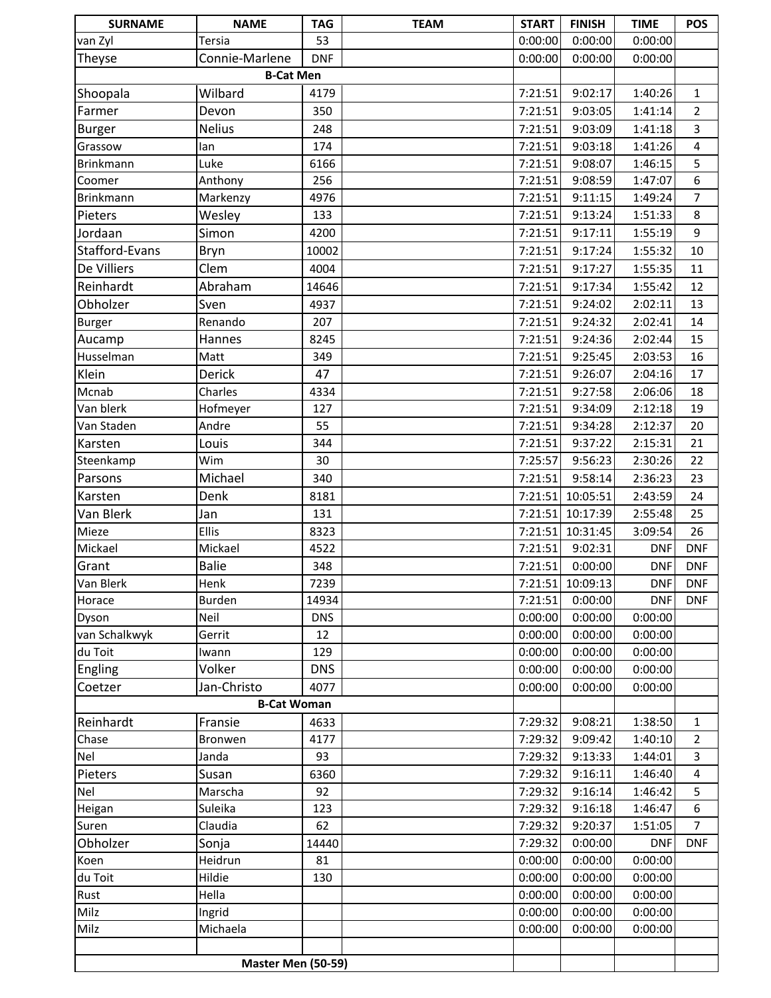| <b>SURNAME</b>     | <b>NAME</b>        | <b>TAG</b> | <b>TEAM</b> | <b>START</b> | <b>FINISH</b> | <b>TIME</b> | <b>POS</b>              |
|--------------------|--------------------|------------|-------------|--------------|---------------|-------------|-------------------------|
| van Zyl            | Tersia             | 53         |             | 0:00:00      | 0:00:00       | 0:00:00     |                         |
| Theyse             | Connie-Marlene     | <b>DNF</b> |             | 0:00:00      | 0:00:00       | 0:00:00     |                         |
|                    | <b>B-Cat Men</b>   |            |             |              |               |             |                         |
| Shoopala           | Wilbard            | 4179       |             | 7:21:51      | 9:02:17       | 1:40:26     | $\mathbf{1}$            |
| Farmer             | Devon              | 350        |             | 7:21:51      | 9:03:05       | 1:41:14     | $\overline{2}$          |
| <b>Burger</b>      | <b>Nelius</b>      | 248        |             | 7:21:51      | 9:03:09       | 1:41:18     | $\overline{\mathbf{3}}$ |
| Grassow            | lan                | 174        |             | 7:21:51      | 9:03:18       | 1:41:26     | $\overline{4}$          |
| Brinkmann          | Luke               | 6166       |             | 7:21:51      | 9:08:07       | 1:46:15     | 5                       |
| Coomer             | Anthony            | 256        |             | 7:21:51      | 9:08:59       | 1:47:07     | 6                       |
| Brinkmann          | Markenzy           | 4976       |             | 7:21:51      | 9:11:15       | 1:49:24     | $\overline{7}$          |
| Pieters            | Wesley             | 133        |             | 7:21:51      | 9:13:24       | 1:51:33     | 8                       |
| Jordaan            | Simon              | 4200       |             | 7:21:51      | 9:17:11       | 1:55:19     | 9                       |
| Stafford-Evans     | Bryn               | 10002      |             | 7:21:51      | 9:17:24       | 1:55:32     | 10                      |
| De Villiers        | Clem               | 4004       |             | 7:21:51      | 9:17:27       | 1:55:35     | 11                      |
| Reinhardt          | Abraham            | 14646      |             | 7:21:51      | 9:17:34       | 1:55:42     | 12                      |
| Obholzer           | Sven               | 4937       |             | 7:21:51      | 9:24:02       | 2:02:11     | 13                      |
| <b>Burger</b>      | Renando            | 207        |             | 7:21:51      | 9:24:32       | 2:02:41     | 14                      |
| Aucamp             | Hannes             | 8245       |             | 7:21:51      | 9:24:36       | 2:02:44     | 15                      |
| Husselman          | Matt               | 349        |             | 7:21:51      | 9:25:45       | 2:03:53     | 16                      |
| Klein              | <b>Derick</b>      | 47         |             | 7:21:51      | 9:26:07       | 2:04:16     | 17                      |
| Mcnab              | Charles            | 4334       |             | 7:21:51      | 9:27:58       | 2:06:06     | 18                      |
| Van blerk          | Hofmeyer           | 127        |             | 7:21:51      | 9:34:09       | 2:12:18     | 19                      |
| Van Staden         | Andre              | 55         |             | 7:21:51      | 9:34:28       | 2:12:37     | 20                      |
| Karsten            | Louis              | 344        |             | 7:21:51      | 9:37:22       | 2:15:31     | 21                      |
| Steenkamp          | Wim                | 30         |             | 7:25:57      | 9:56:23       | 2:30:26     | 22                      |
| Parsons            | Michael            | 340        |             | 7:21:51      | 9:58:14       | 2:36:23     | 23                      |
| Karsten            | Denk               | 8181       |             | 7:21:51      | 10:05:51      | 2:43:59     | 24                      |
| Van Blerk          | Jan                | 131        |             | 7:21:51      | 10:17:39      | 2:55:48     | 25                      |
| Mieze              | <b>Ellis</b>       | 8323       |             | 7:21:51      | 10:31:45      | 3:09:54     | 26                      |
| Mickael            | Mickael            | 4522       |             | 7:21:51      | 9:02:31       | <b>DNF</b>  | <b>DNF</b>              |
| Grant              | <b>Balie</b>       | 348        |             | 7:21:51      | 0:00:00       | <b>DNF</b>  | <b>DNF</b>              |
| Van Blerk          | Henk               | 7239       |             | 7:21:51      | 10:09:13      | <b>DNFI</b> | <b>DNF</b>              |
| Horace             | Burden             | 14934      |             | 7:21:51      | 0:00:00       | <b>DNF</b>  | <b>DNF</b>              |
| Dyson              | Neil               | <b>DNS</b> |             | 0:00:00      | 0:00:00       | 0:00:00     |                         |
| van Schalkwyk      | Gerrit             | 12         |             | 0:00:00      | 0:00:00       | 0:00:00     |                         |
| du Toit            | Iwann              | 129        |             | 0:00:00      | 0:00:00       | 0:00:00     |                         |
| Engling            | Volker             | <b>DNS</b> |             | 0:00:00      | 0:00:00       | 0:00:00     |                         |
| Coetzer            | Jan-Christo        | 4077       |             | 0:00:00      | 0:00:00       | 0:00:00     |                         |
|                    | <b>B-Cat Woman</b> |            |             |              |               |             |                         |
| Reinhardt          | Fransie            | 4633       |             | 7:29:32      | 9:08:21       | 1:38:50     | 1                       |
| Chase              | Bronwen            | 4177       |             | 7:29:32      | 9:09:42       | 1:40:10     | $\overline{2}$          |
| Nel                | Janda              | 93         |             | 7:29:32      | 9:13:33       | 1:44:01     | 3                       |
| Pieters            | Susan              | 6360       |             | 7:29:32      | 9:16:11       | 1:46:40     | 4                       |
| Nel                | Marscha            | 92         |             | 7:29:32      | 9:16:14       | 1:46:42     | 5                       |
| Heigan             | Suleika            | 123        |             | 7:29:32      | 9:16:18       | 1:46:47     | 6                       |
| Suren              | Claudia            | 62         |             | 7:29:32      | 9:20:37       | 1:51:05     | 7                       |
| Obholzer           | Sonja              | 14440      |             | 7:29:32      | 0:00:00       | <b>DNF</b>  | <b>DNF</b>              |
| Koen               | Heidrun            | 81         |             | 0:00:00      | 0:00:00       | 0:00:00     |                         |
| du Toit            | Hildie             | 130        |             | 0:00:00      | 0:00:00       | 0:00:00     |                         |
| Rust               | Hella              |            |             | 0:00:00      | 0:00:00       | 0:00:00     |                         |
| Milz               | Ingrid             |            |             | 0:00:00      | 0:00:00       | 0:00:00     |                         |
| Milz               | Michaela           |            |             | 0:00:00      | 0:00:00       | 0:00:00     |                         |
|                    |                    |            |             |              |               |             |                         |
| Master Men (50-59) |                    |            |             |              |               |             |                         |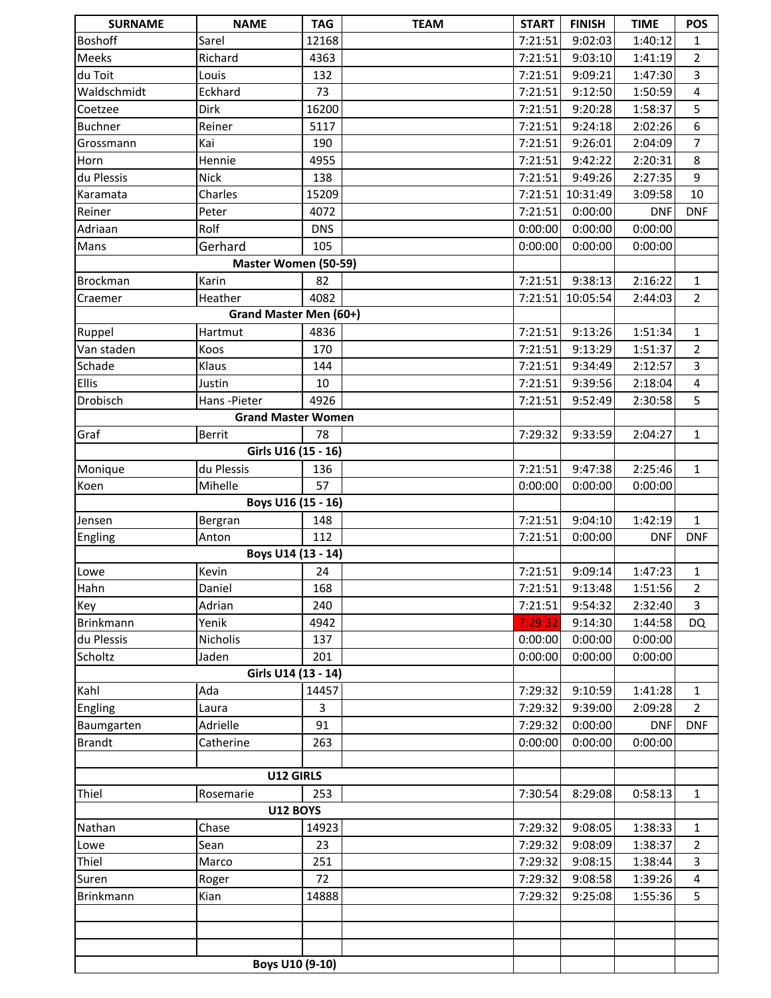| <b>SURNAME</b>     | <b>NAME</b>               | <b>TAG</b> | <b>TEAM</b> | <b>START</b> | <b>FINISH</b> | <b>TIME</b> | POS                     |
|--------------------|---------------------------|------------|-------------|--------------|---------------|-------------|-------------------------|
| <b>Boshoff</b>     | Sarel                     | 12168      |             | 7:21:51      | 9:02:03       | 1:40:12     | 1                       |
| Meeks              | Richard                   | 4363       |             | 7:21:51      | 9:03:10       | 1:41:19     | $\overline{2}$          |
| du Toit            | Louis                     | 132        |             | 7:21:51      | 9:09:21       | 1:47:30     | 3                       |
| Waldschmidt        | Eckhard                   | 73         |             | 7:21:51      | 9:12:50       | 1:50:59     | $\overline{\mathbf{4}}$ |
| Coetzee            | Dirk                      | 16200      |             | 7:21:51      | 9:20:28       | 1:58:37     | 5                       |
| <b>Buchner</b>     | Reiner                    | 5117       |             | 7:21:51      | 9:24:18       | 2:02:26     | 6                       |
| Grossmann          | Kai                       | 190        |             | 7:21:51      | 9:26:01       | 2:04:09     | $\overline{7}$          |
| Horn               | Hennie                    | 4955       |             | 7:21:51      | 9:42:22       | 2:20:31     | 8                       |
| du Plessis         | <b>Nick</b>               | 138        |             | 7:21:51      | 9:49:26       | 2:27:35     | 9                       |
| Karamata           | Charles                   | 15209      |             | 7:21:51      | 10:31:49      | 3:09:58     | 10                      |
| Reiner             | Peter                     | 4072       |             | 7:21:51      | 0:00:00       | <b>DNF</b>  | <b>DNF</b>              |
| Adriaan            | Rolf                      | <b>DNS</b> |             | 0:00:00      | 0:00:00       | 0:00:00     |                         |
| Mans               | Gerhard                   | 105        |             | 0:00:00      | 0:00:00       | 0:00:00     |                         |
|                    | Master Women (50-59)      |            |             |              |               |             |                         |
| Brockman           | Karin                     | 82         |             | 7:21:51      | 9:38:13       | 2:16:22     | $\mathbf{1}$            |
| Craemer            | Heather                   | 4082       |             | 7:21:51      | 10:05:54      | 2:44:03     | $\overline{2}$          |
|                    | Grand Master Men (60+)    |            |             |              |               |             |                         |
| Ruppel             | Hartmut                   | 4836       |             | 7:21:51      | 9:13:26       | 1:51:34     | $\mathbf{1}$            |
| Van staden         | Koos                      | 170        |             | 7:21:51      | 9:13:29       | 1:51:37     | $\overline{2}$          |
| Schade             | Klaus                     | 144        |             | 7:21:51      | 9:34:49       | 2:12:57     | 3                       |
| <b>Ellis</b>       | Justin                    | 10         |             | 7:21:51      | 9:39:56       | 2:18:04     | $\overline{\mathbf{4}}$ |
| Drobisch           | Hans-Pieter               | 4926       |             | 7:21:51      | 9:52:49       | 2:30:58     | 5                       |
|                    | <b>Grand Master Women</b> |            |             |              |               |             |                         |
| Graf               | <b>Berrit</b>             | 78         |             | 7:29:32      | 9:33:59       | 2:04:27     | $\mathbf{1}$            |
|                    | Girls U16 (15 - 16)       |            |             |              |               |             |                         |
| Monique            | du Plessis                | 136        |             | 7:21:51      | 9:47:38       | 2:25:46     | $\mathbf{1}$            |
| Koen               | Mihelle                   | 57         |             | 0:00:00      | 0:00:00       | 0:00:00     |                         |
| Boys U16 (15 - 16) |                           |            |             |              |               |             |                         |
| Jensen             | Bergran                   | 148        |             | 7:21:51      | 9:04:10       | 1:42:19     | $\mathbf{1}$            |
| Engling            | Anton                     | 112        |             | 7:21:51      | 0:00:00       | <b>DNF</b>  | <b>DNF</b>              |
|                    | Boys U14 (13 - 14)        |            |             |              |               |             |                         |
| Lowe               | Kevin                     | 24         |             | 7:21:51      | 9:09:14       | 1:47:23     | $\mathbf{1}$            |
| Hahn               | Daniel                    | 168        |             | 7:21:51      | 9:13:48       | 1:51:56     | $\overline{2}$          |
| Key                | Adrian                    | 240        |             | 7:21:51      | 9:54:32       | 2:32:40     | $\overline{3}$          |
| Brinkmann          | Yenik                     | 4942       |             | 7:29:32      | 9:14:30       | 1:44:58     | <b>DQ</b>               |
| du Plessis         | Nicholis                  | 137        |             | 0:00:00      | 0:00:00       | 0:00:00     |                         |
| Scholtz            | Jaden                     | 201        |             | 0:00:00      | 0:00:00       | 0:00:00     |                         |
|                    | Girls U14 (13 - 14)       |            |             |              |               |             |                         |
| Kahl               | Ada                       | 14457      |             | 7:29:32      | 9:10:59       | 1:41:28     | 1                       |
| Engling            | Laura                     | 3          |             | 7:29:32      | 9:39:00       | 2:09:28     | $\overline{2}$          |
| Baumgarten         | Adrielle                  | 91         |             | 7:29:32      | 0:00:00       | <b>DNF</b>  | <b>DNF</b>              |
| <b>Brandt</b>      | Catherine                 | 263        |             | 0:00:00      | 0:00:00       | 0:00:00     |                         |
|                    |                           |            |             |              |               |             |                         |
|                    | U12 GIRLS                 |            |             |              |               |             |                         |
| Thiel              | Rosemarie                 | 253        |             | 7:30:54      | 8:29:08       | 0:58:13     | $\mathbf{1}$            |
|                    | <b>U12 BOYS</b>           |            |             |              |               |             |                         |
| Nathan             | Chase                     | 14923      |             | 7:29:32      | 9:08:05       | 1:38:33     | $\mathbf{1}$            |
| Lowe               | Sean                      | 23         |             | 7:29:32      | 9:08:09       | 1:38:37     | $\overline{2}$          |
| Thiel              | Marco                     | 251        |             | 7:29:32      | 9:08:15       | 1:38:44     | $\overline{3}$          |
| Suren              | Roger                     | 72         |             | 7:29:32      | 9:08:58       | 1:39:26     | 4                       |
| Brinkmann          | Kian                      | 14888      |             | 7:29:32      | 9:25:08       | 1:55:36     | 5                       |
|                    |                           |            |             |              |               |             |                         |
|                    |                           |            |             |              |               |             |                         |
|                    |                           |            |             |              |               |             |                         |
|                    |                           |            |             |              |               |             |                         |
| Boys U10 (9-10)    |                           |            |             |              |               |             |                         |